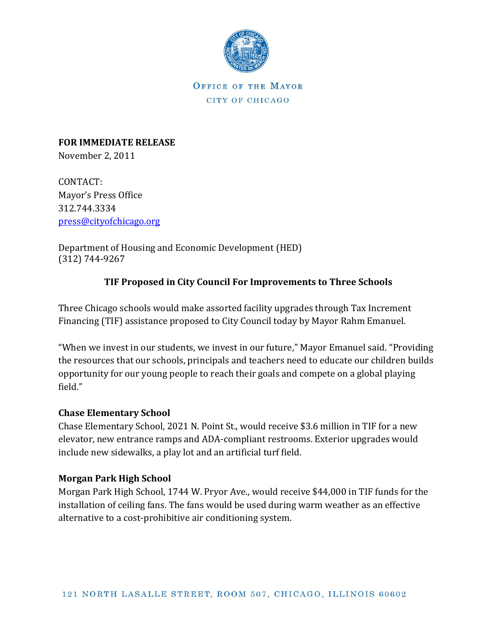

OFFICE OF THE MAYOR CITY OF CHICAGO

**FOR IMMEDIATE RELEASE** November 2, 2011

CONTACT: Mayor's Press Office 312.744.3334 [press@cityofchicago.org](mailto:press@cityofchicago.org)

Department of Housing and Economic Development (HED) (312) 744-9267

## **TIF Proposed in City Council For Improvements to Three Schools**

Three Chicago schools would make assorted facility upgrades through Tax Increment Financing (TIF) assistance proposed to City Council today by Mayor Rahm Emanuel.

"When we invest in our students, we invest in our future," Mayor Emanuel said. "Providing the resources that our schools, principals and teachers need to educate our children builds opportunity for our young people to reach their goals and compete on a global playing field."

## **Chase Elementary School**

Chase Elementary School, 2021 N. Point St., would receive \$3.6 million in TIF for a new elevator, new entrance ramps and ADA-compliant restrooms. Exterior upgrades would include new sidewalks, a play lot and an artificial turf field.

## **Morgan Park High School**

Morgan Park High School, 1744 W. Pryor Ave., would receive \$44,000 in TIF funds for the installation of ceiling fans. The fans would be used during warm weather as an effective alternative to a cost-prohibitive air conditioning system.